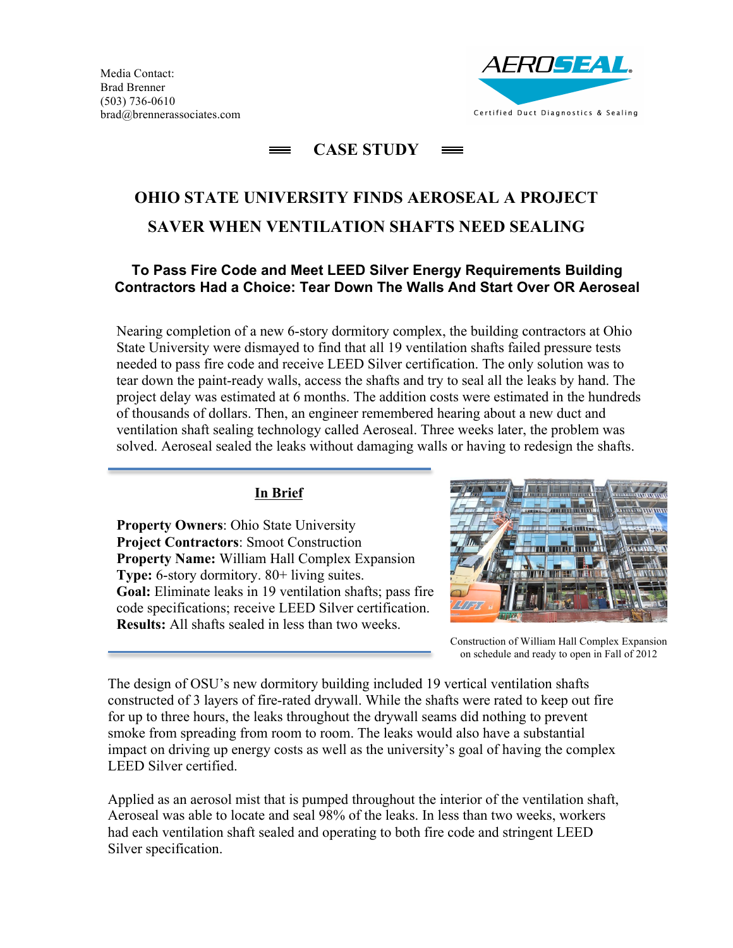

#### **CASE STUDY**  $=$

# **OHIO STATE UNIVERSITY FINDS AEROSEAL A PROJECT SAVER WHEN VENTILATION SHAFTS NEED SEALING**

# **To Pass Fire Code and Meet LEED Silver Energy Requirements Building Contractors Had a Choice: Tear Down The Walls And Start Over OR Aeroseal**

Nearing completion of a new 6-story dormitory complex, the building contractors at Ohio State University were dismayed to find that all 19 ventilation shafts failed pressure tests needed to pass fire code and receive LEED Silver certification. The only solution was to tear down the paint-ready walls, access the shafts and try to seal all the leaks by hand. The project delay was estimated at 6 months. The addition costs were estimated in the hundreds of thousands of dollars. Then, an engineer remembered hearing about a new duct and ventilation shaft sealing technology called Aeroseal. Three weeks later, the problem was solved. Aeroseal sealed the leaks without damaging walls or having to redesign the shafts.

### **In Brief**

**Property Owners**: Ohio State University **Project Contractors**: Smoot Construction **Property Name:** William Hall Complex Expansion **Type:** 6-story dormitory. 80+ living suites. **Goal:** Eliminate leaks in 19 ventilation shafts; pass fire code specifications; receive LEED Silver certification. **Results:** All shafts sealed in less than two weeks.



Construction of William Hall Complex Expansion on schedule and ready to open in Fall of 2012

The design of OSU's new dormitory building included 19 vertical ventilation shafts constructed of 3 layers of fire-rated drywall. While the shafts were rated to keep out fire for up to three hours, the leaks throughout the drywall seams did nothing to prevent smoke from spreading from room to room. The leaks would also have a substantial impact on driving up energy costs as well as the university's goal of having the complex LEED Silver certified.

Applied as an aerosol mist that is pumped throughout the interior of the ventilation shaft, Aeroseal was able to locate and seal 98% of the leaks. In less than two weeks, workers had each ventilation shaft sealed and operating to both fire code and stringent LEED Silver specification.